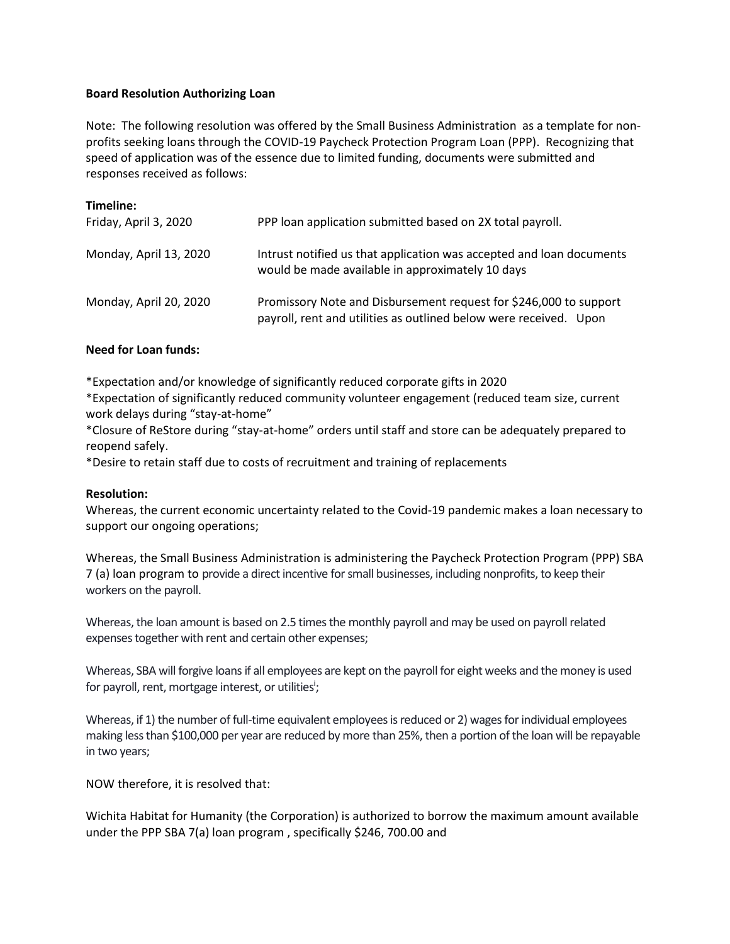## **Board Resolution Authorizing Loan**

Note: The following resolution was offered by the Small Business Administration as a template for nonprofits seeking loans through the COVID-19 Paycheck Protection Program Loan (PPP). Recognizing that speed of application was of the essence due to limited funding, documents were submitted and responses received as follows:

| Timeline:              |                                                                                                                                        |
|------------------------|----------------------------------------------------------------------------------------------------------------------------------------|
| Friday, April 3, 2020  | PPP loan application submitted based on 2X total payroll.                                                                              |
| Monday, April 13, 2020 | Intrust notified us that application was accepted and loan documents<br>would be made available in approximately 10 days               |
| Monday, April 20, 2020 | Promissory Note and Disbursement request for \$246,000 to support<br>payroll, rent and utilities as outlined below were received. Upon |

## **Need for Loan funds:**

\*Expectation and/or knowledge of significantly reduced corporate gifts in 2020

\*Expectation of significantly reduced community volunteer engagement (reduced team size, current work delays during "stay-at-home"

\*Closure of ReStore during "stay-at-home" orders until staff and store can be adequately prepared to reopend safely.

\*Desire to retain staff due to costs of recruitment and training of replacements

## **Resolution:**

Whereas, the current economic uncertainty related to the Covid-19 pandemic makes a loan necessary to support our ongoing operations;

Whereas, the Small Business Administration is administering the Paycheck Protection Program (PPP) SBA 7 (a) loan program to provide a direct incentive for small businesses, including nonprofits,to keep their workers on the payroll.

Whereas, the loan amount is based on 2.5 times the monthly payroll and may be used on payroll related expenses together with rent and certain other expenses;

Whereas, SBA will forgive loans if all employees are kept on the payroll for eight weeks and the money is used for payroll, rent, mortgage interest, or utilities<sup>i</sup>;

Whereas, if 1) the number of full-time equivalent employees is reduced or 2) wages for individual employees making less than \$100,000 per year are reduced by more than 25%, then a portion of the loan will be repayable in two years;

NOW therefore, it is resolved that:

Wichita Habitat for Humanity (the Corporation) is authorized to borrow the maximum amount available under the PPP SBA 7(a) loan program , specifically \$246, 700.00 and